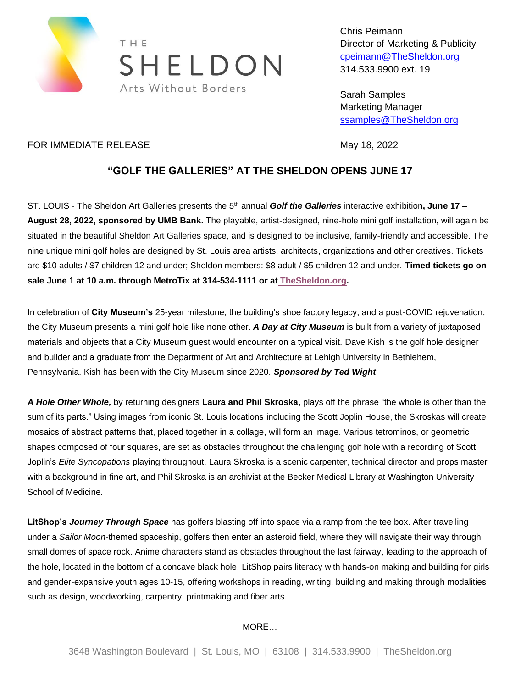

Chris Peimann Director of Marketing & Publicity [cpeimann@TheSheldon.org](mailto:cpeimann@TheSheldon.org) 314.533.9900 ext. 19

Sarah Samples Marketing Manager [ssamples@TheSheldon.org](mailto:ssamples@TheSheldon.org)

## FOR IMMEDIATE RELEASE May 18, 2022

## **"GOLF THE GALLERIES" AT THE SHELDON OPENS JUNE 17**

ST. LOUIS - The Sheldon Art Galleries presents the 5<sup>th</sup> annual *Golf the Galleries* interactive exhibition, June 17 – **August 28, 2022, sponsored by UMB Bank.** The playable, artist-designed, nine-hole mini golf installation, will again be situated in the beautiful Sheldon Art Galleries space, and is designed to be inclusive, family-friendly and accessible. The nine unique mini golf holes are designed by St. Louis area artists, architects, organizations and other creatives. Tickets are \$10 adults / \$7 children 12 and under; Sheldon members: \$8 adult / \$5 children 12 and under. **Timed tickets go on sale June 1 at 10 a.m. through MetroTix at 314-534-1111 or at [TheSheldon.org.](http://www.thesheldon.org/events/golf/)**

In celebration of **City Museum's** 25-year milestone, the building's shoe factory legacy, and a post-COVID rejuvenation, the City Museum presents a mini golf hole like none other. *A Day at City Museum* is built from a variety of juxtaposed materials and objects that a City Museum guest would encounter on a typical visit. Dave Kish is the golf hole designer and builder and a graduate from the Department of Art and Architecture at Lehigh University in Bethlehem, Pennsylvania. Kish has been with the City Museum since 2020. *Sponsored by Ted Wight*

*A Hole Other Whole,* by returning designers **Laura and Phil Skroska,** plays off the phrase "the whole is other than the sum of its parts." Using images from iconic St. Louis locations including the Scott Joplin House, the Skroskas will create mosaics of abstract patterns that, placed together in a collage, will form an image. Various tetrominos, or geometric shapes composed of four squares, are set as obstacles throughout the challenging golf hole with a recording of Scott Joplin's *Elite Syncopations* playing throughout. Laura Skroska is a scenic carpenter, technical director and props master with a background in fine art, and Phil Skroska is an archivist at the Becker Medical Library at Washington University School of Medicine.

**LitShop's** *Journey Through Space* has golfers blasting off into space via a ramp from the tee box. After travelling under a *Sailor Moon*-themed spaceship, golfers then enter an asteroid field, where they will navigate their way through small domes of space rock. Anime characters stand as obstacles throughout the last fairway, leading to the approach of the hole, located in the bottom of a concave black hole. LitShop pairs literacy with hands-on making and building for girls and gender-expansive youth ages 10-15, offering workshops in reading, writing, building and making through modalities such as design, woodworking, carpentry, printmaking and fiber arts.

MORE…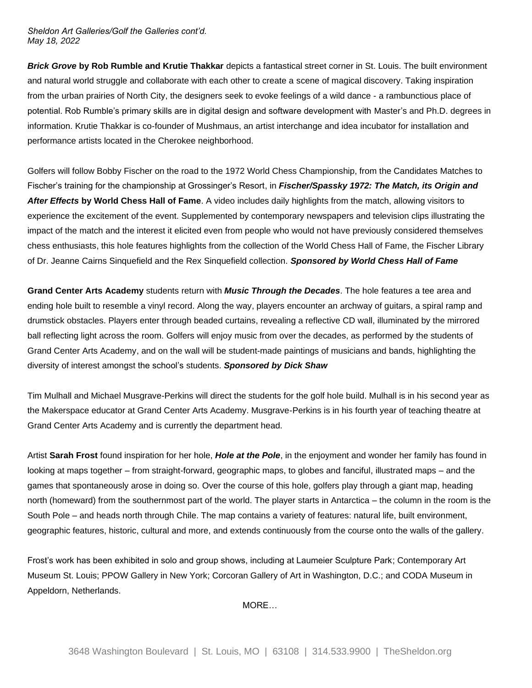*Sheldon Art Galleries/Golf the Galleries cont'd. May 18, 2022*

*Brick Grove* **by Rob Rumble and Krutie Thakkar** depicts a fantastical street corner in St. Louis. The built environment and natural world struggle and collaborate with each other to create a scene of magical discovery. Taking inspiration from the urban prairies of North City, the designers seek to evoke feelings of a wild dance - a rambunctious place of potential. Rob Rumble's primary skills are in digital design and software development with Master's and Ph.D. degrees in information. Krutie Thakkar is co-founder of Mushmaus, an artist interchange and idea incubator for installation and performance artists located in the Cherokee neighborhood.

Golfers will follow Bobby Fischer on the road to the 1972 World Chess Championship, from the Candidates Matches to Fischer's training for the championship at Grossinger's Resort, in *Fischer/Spassky 1972: The Match, its Origin and After Effects* **by World Chess Hall of Fame**. A video includes daily highlights from the match, allowing visitors to experience the excitement of the event. Supplemented by contemporary newspapers and television clips illustrating the impact of the match and the interest it elicited even from people who would not have previously considered themselves chess enthusiasts, this hole features highlights from the collection of the World Chess Hall of Fame, the Fischer Library of Dr. Jeanne Cairns Sinquefield and the Rex Sinquefield collection. *Sponsored by World Chess Hall of Fame*

**Grand Center Arts Academy** students return with *Music Through the Decades*. The hole features a tee area and ending hole built to resemble a vinyl record. Along the way, players encounter an archway of guitars, a spiral ramp and drumstick obstacles. Players enter through beaded curtains, revealing a reflective CD wall, illuminated by the mirrored ball reflecting light across the room. Golfers will enjoy music from over the decades, as performed by the students of Grand Center Arts Academy, and on the wall will be student-made paintings of musicians and bands, highlighting the diversity of interest amongst the school's students. *Sponsored by Dick Shaw*

Tim Mulhall and Michael Musgrave-Perkins will direct the students for the golf hole build. Mulhall is in his second year as the Makerspace educator at Grand Center Arts Academy. Musgrave-Perkins is in his fourth year of teaching theatre at Grand Center Arts Academy and is currently the department head.

Artist **Sarah Frost** found inspiration for her hole, *Hole at the Pole*, in the enjoyment and wonder her family has found in looking at maps together – from straight-forward, geographic maps, to globes and fanciful, illustrated maps – and the games that spontaneously arose in doing so. Over the course of this hole, golfers play through a giant map, heading north (homeward) from the southernmost part of the world. The player starts in Antarctica – the column in the room is the South Pole – and heads north through Chile. The map contains a variety of features: natural life, built environment, geographic features, historic, cultural and more, and extends continuously from the course onto the walls of the gallery.

Frost's work has been exhibited in solo and group shows, including at Laumeier Sculpture Park; Contemporary Art Museum St. Louis; PPOW Gallery in New York; Corcoran Gallery of Art in Washington, D.C.; and CODA Museum in Appeldorn, Netherlands.

MORE…